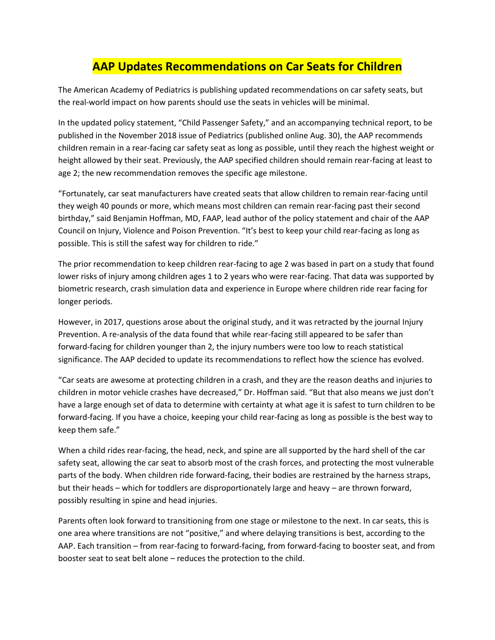## **AAP Updates Recommendations on Car Seats for Children**

The American Academy of Pediatrics is publishing updated recommendations on car safety seats, but the real-world impact on how parents should use the seats in vehicles will be minimal.

In the updated policy statement, "Child Passenger Safety," and an accompanying technical report, to be published in the November 2018 issue of Pediatrics (published online Aug. 30), the AAP recommends children remain in a rear-facing car safety seat as long as possible, until they reach the highest weight or height allowed by their seat. Previously, the AAP specified children should remain rear-facing at least to age 2; the new recommendation removes the specific age milestone.

"Fortunately, car seat manufacturers have created seats that allow children to remain rear-facing until they weigh 40 pounds or more, which means most children can remain rear-facing past their second birthday," said Benjamin Hoffman, MD, FAAP, lead author of the policy statement and chair of the AAP Council on Injury, Violence and Poison Prevention. "It's best to keep your child rear-facing as long as possible. This is still the safest way for children to ride."

The prior recommendation to keep children rear-facing to age 2 was based in part on a study that found lower risks of injury among children ages 1 to 2 years who were rear-facing. That data was supported by biometric research, crash simulation data and experience in Europe where children ride rear facing for longer periods.

However, in 2017, questions arose about the original study, and it was retracted by the journal Injury Prevention. A re-analysis of the data found that while rear-facing still appeared to be safer than forward-facing for children younger than 2, the injury numbers were too low to reach statistical significance. The AAP decided to update its recommendations to reflect how the science has evolved.

"Car seats are awesome at protecting children in a crash, and they are the reason deaths and injuries to children in motor vehicle crashes have decreased," Dr. Hoffman said. "But that also means we just don't have a large enough set of data to determine with certainty at what age it is safest to turn children to be forward-facing. If you have a choice, keeping your child rear-facing as long as possible is the best way to keep them safe."

When a child rides rear-facing, the head, neck, and spine are all supported by the hard shell of the car safety seat, allowing the car seat to absorb most of the crash forces, and protecting the most vulnerable parts of the body. When children ride forward-facing, their bodies are restrained by the harness straps, but their heads – which for toddlers are disproportionately large and heavy – are thrown forward, possibly resulting in spine and head injuries.

Parents often look forward to transitioning from one stage or milestone to the next. In car seats, this is one area where transitions are not "positive," and where delaying transitions is best, according to the AAP. Each transition – from rear-facing to forward-facing, from forward-facing to booster seat, and from booster seat to seat belt alone – reduces the protection to the child.